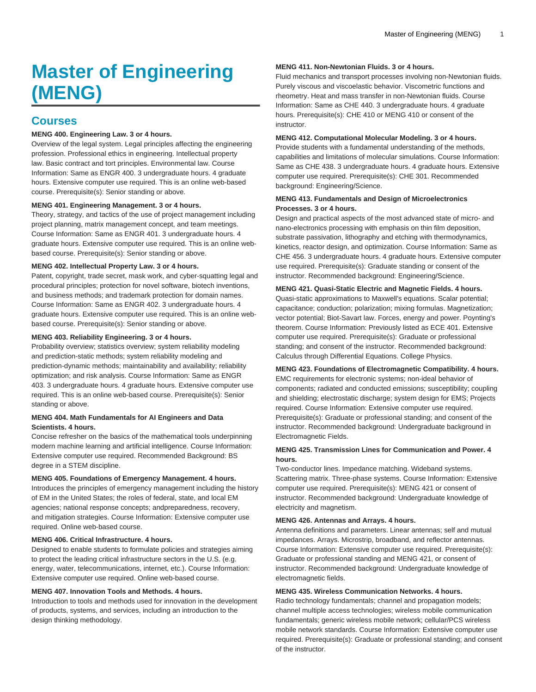# **Master of Engineering (MENG)**

# **Courses**

# **MENG 400. Engineering Law. 3 or 4 hours.**

Overview of the legal system. Legal principles affecting the engineering profession. Professional ethics in engineering. Intellectual property law. Basic contract and tort principles. Environmental law. Course Information: Same as ENGR 400. 3 undergraduate hours. 4 graduate hours. Extensive computer use required. This is an online web-based course. Prerequisite(s): Senior standing or above.

#### **MENG 401. Engineering Management. 3 or 4 hours.**

Theory, strategy, and tactics of the use of project management including project planning, matrix management concept, and team meetings. Course Information: Same as ENGR 401. 3 undergraduate hours. 4 graduate hours. Extensive computer use required. This is an online webbased course. Prerequisite(s): Senior standing or above.

#### **MENG 402. Intellectual Property Law. 3 or 4 hours.**

Patent, copyright, trade secret, mask work, and cyber-squatting legal and procedural principles; protection for novel software, biotech inventions, and business methods; and trademark protection for domain names. Course Information: Same as ENGR 402. 3 undergraduate hours. 4 graduate hours. Extensive computer use required. This is an online webbased course. Prerequisite(s): Senior standing or above.

#### **MENG 403. Reliability Engineering. 3 or 4 hours.**

Probability overview; statistics overview; system reliability modeling and prediction-static methods; system reliability modeling and prediction-dynamic methods; maintainability and availability; reliability optimization; and risk analysis. Course Information: Same as ENGR 403. 3 undergraduate hours. 4 graduate hours. Extensive computer use required. This is an online web-based course. Prerequisite(s): Senior standing or above.

# **MENG 404. Math Fundamentals for AI Engineers and Data Scientists. 4 hours.**

Concise refresher on the basics of the mathematical tools underpinning modern machine learning and artificial intelligence. Course Information: Extensive computer use required. Recommended Background: BS degree in a STEM discipline.

#### **MENG 405. Foundations of Emergency Management. 4 hours.**

Introduces the principles of emergency management including the history of EM in the United States; the roles of federal, state, and local EM agencies; national response concepts; andpreparedness, recovery, and mitigation strategies. Course Information: Extensive computer use required. Online web-based course.

#### **MENG 406. Critical Infrastructure. 4 hours.**

Designed to enable students to formulate policies and strategies aiming to protect the leading critical infrastructure sectors in the U.S. (e.g. energy, water, telecommunications, internet, etc.). Course Information: Extensive computer use required. Online web-based course.

# **MENG 407. Innovation Tools and Methods. 4 hours.**

Introduction to tools and methods used for innovation in the development of products, systems, and services, including an introduction to the design thinking methodology.

#### **MENG 411. Non-Newtonian Fluids. 3 or 4 hours.**

Fluid mechanics and transport processes involving non-Newtonian fluids. Purely viscous and viscoelastic behavior. Viscometric functions and rheometry. Heat and mass transfer in non-Newtonian fluids. Course Information: Same as CHE 440. 3 undergraduate hours. 4 graduate hours. Prerequisite(s): CHE 410 or MENG 410 or consent of the instructor.

#### **MENG 412. Computational Molecular Modeling. 3 or 4 hours.**

Provide students with a fundamental understanding of the methods, capabilities and limitations of molecular simulations. Course Information: Same as CHE 438. 3 undergraduate hours. 4 graduate hours. Extensive computer use required. Prerequisite(s): CHE 301. Recommended background: Engineering/Science.

# **MENG 413. Fundamentals and Design of Microelectronics Processes. 3 or 4 hours.**

Design and practical aspects of the most advanced state of micro- and nano-electronics processing with emphasis on thin film deposition, substrate passivation, lithography and etching with thermodynamics, kinetics, reactor design, and optimization. Course Information: Same as CHE 456. 3 undergraduate hours. 4 graduate hours. Extensive computer use required. Prerequisite(s): Graduate standing or consent of the instructor. Recommended background: Engineering/Science.

### **MENG 421. Quasi-Static Electric and Magnetic Fields. 4 hours.**

Quasi-static approximations to Maxwell's equations. Scalar potential; capacitance; conduction; polarization; mixing formulas. Magnetization; vector potential; Biot-Savart law. Forces, energy and power. Poynting's theorem. Course Information: Previously listed as ECE 401. Extensive computer use required. Prerequisite(s): Graduate or professional standing; and consent of the instructor. Recommended background: Calculus through Differential Equations. College Physics.

# **MENG 423. Foundations of Electromagnetic Compatibility. 4 hours.**

EMC requirements for electronic systems; non-ideal behavior of components; radiated and conducted emissions; susceptibility; coupling and shielding; electrostatic discharge; system design for EMS; Projects required. Course Information: Extensive computer use required. Prerequisite(s): Graduate or professional standing; and consent of the instructor. Recommended background: Undergraduate background in Electromagnetic Fields.

## **MENG 425. Transmission Lines for Communication and Power. 4 hours.**

Two-conductor lines. Impedance matching. Wideband systems. Scattering matrix. Three-phase systems. Course Information: Extensive computer use required. Prerequisite(s): MENG 421 or consent of instructor. Recommended background: Undergraduate knowledge of electricity and magnetism.

#### **MENG 426. Antennas and Arrays. 4 hours.**

Antenna definitions and parameters. Linear antennas; self and mutual impedances. Arrays. Microstrip, broadband, and reflector antennas. Course Information: Extensive computer use required. Prerequisite(s): Graduate or professional standing and MENG 421, or consent of instructor. Recommended background: Undergraduate knowledge of electromagnetic fields.

### **MENG 435. Wireless Communication Networks. 4 hours.**

Radio technology fundamentals; channel and propagation models; channel multiple access technologies; wireless mobile communication fundamentals; generic wireless mobile network; cellular/PCS wireless mobile network standards. Course Information: Extensive computer use required. Prerequisite(s): Graduate or professional standing; and consent of the instructor.